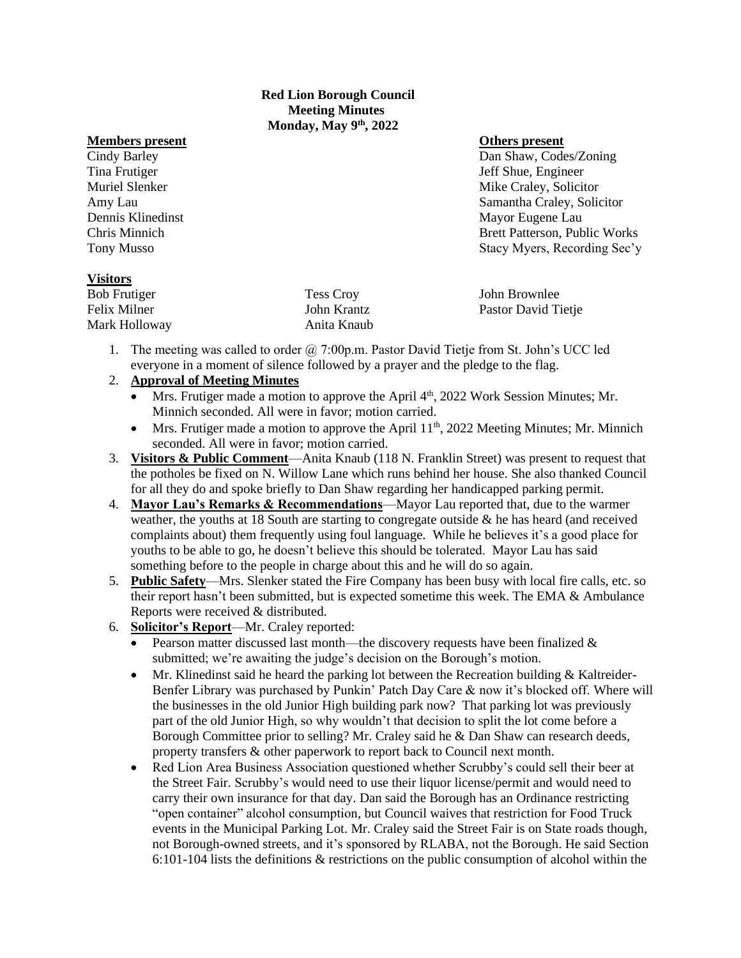**Red Lion Borough Council Meeting Minutes Monday, May 9th, 2022**

#### **Members present Others present**

Cindy Barley Dan Shaw, Codes/Zoning Tina Frutiger The Studies of the Shue, Engineer Studies and Studies and Studies of Shue, Engineer Muriel Slenker Mike Craley, Solicitor Mike Craley, Solicitor Amy Lau Samantha Craley, Solicitor Dennis Klinedinst Mayor Eugene Lau Chris Minnich Brett Patterson, Public Works Tony Musso Stacy Myers, Recording Sec'y

## **Visitors**

| <b>Bob Frutiger</b> | <b>Tess Croy</b> | John Brownlee       |
|---------------------|------------------|---------------------|
| Felix Milner        | John Krantz      | Pastor David Tietje |
| Mark Holloway       | Anita Knaub      |                     |

1. The meeting was called to order  $(2, 7:00p.m.$  Pastor David Tietje from St. John's UCC led everyone in a moment of silence followed by a prayer and the pledge to the flag.

### 2. **Approval of Meeting Minutes**

- Mrs. Frutiger made a motion to approve the April  $4<sup>th</sup>$ , 2022 Work Session Minutes; Mr. Minnich seconded. All were in favor; motion carried.
- Mrs. Frutiger made a motion to approve the April 11<sup>th</sup>, 2022 Meeting Minutes; Mr. Minnich seconded. All were in favor; motion carried.
- 3. **Visitors & Public Comment**—Anita Knaub (118 N. Franklin Street) was present to request that the potholes be fixed on N. Willow Lane which runs behind her house. She also thanked Council for all they do and spoke briefly to Dan Shaw regarding her handicapped parking permit.
- 4. **Mayor Lau's Remarks & Recommendations**—Mayor Lau reported that, due to the warmer weather, the youths at 18 South are starting to congregate outside & he has heard (and received complaints about) them frequently using foul language. While he believes it's a good place for youths to be able to go, he doesn't believe this should be tolerated. Mayor Lau has said something before to the people in charge about this and he will do so again.
- 5. **Public Safety**—Mrs. Slenker stated the Fire Company has been busy with local fire calls, etc. so their report hasn't been submitted, but is expected sometime this week. The EMA & Ambulance Reports were received & distributed.
- 6. **Solicitor's Report**—Mr. Craley reported:
	- Pearson matter discussed last month—the discovery requests have been finalized  $\&$ submitted; we're awaiting the judge's decision on the Borough's motion.
	- Mr. Klinedinst said he heard the parking lot between the Recreation building & Kaltreider-Benfer Library was purchased by Punkin' Patch Day Care & now it's blocked off. Where will the businesses in the old Junior High building park now? That parking lot was previously part of the old Junior High, so why wouldn't that decision to split the lot come before a Borough Committee prior to selling? Mr. Craley said he & Dan Shaw can research deeds, property transfers & other paperwork to report back to Council next month.
	- Red Lion Area Business Association questioned whether Scrubby's could sell their beer at the Street Fair. Scrubby's would need to use their liquor license/permit and would need to carry their own insurance for that day. Dan said the Borough has an Ordinance restricting "open container" alcohol consumption, but Council waives that restriction for Food Truck events in the Municipal Parking Lot. Mr. Craley said the Street Fair is on State roads though, not Borough-owned streets, and it's sponsored by RLABA, not the Borough. He said Section 6:101-104 lists the definitions & restrictions on the public consumption of alcohol within the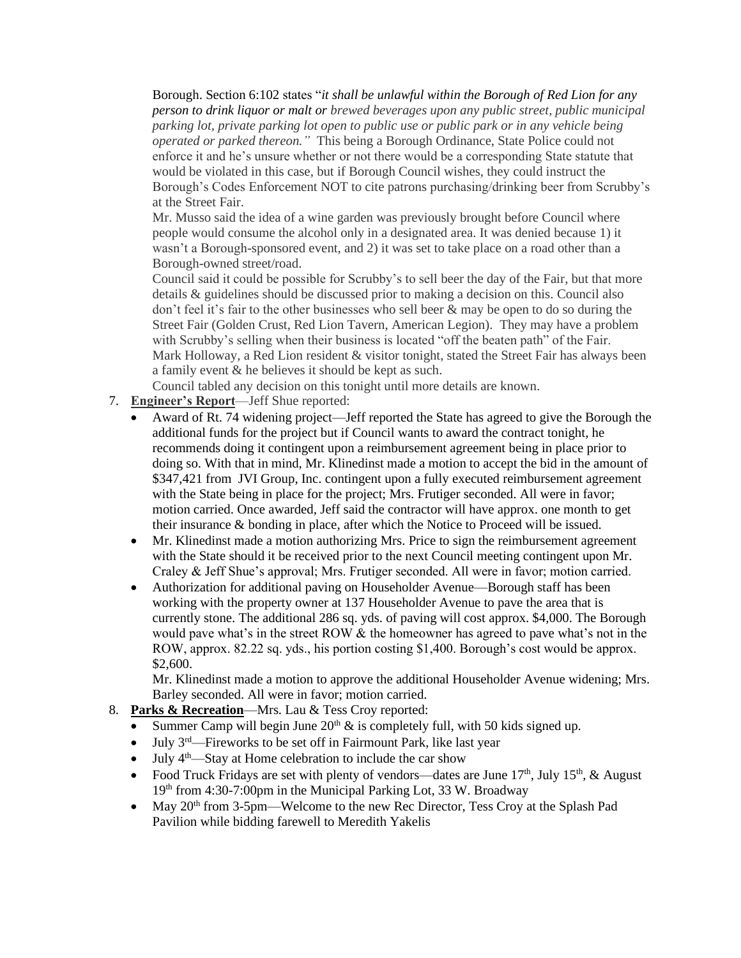Borough. Section 6:102 states "*it shall be unlawful within the Borough of Red Lion for any person to drink liquor or malt or brewed beverages upon any public street, public municipal parking lot, private parking lot open to public use or public park or in any vehicle being operated or parked thereon."* This being a Borough Ordinance, State Police could not enforce it and he's unsure whether or not there would be a corresponding State statute that would be violated in this case, but if Borough Council wishes, they could instruct the Borough's Codes Enforcement NOT to cite patrons purchasing/drinking beer from Scrubby's at the Street Fair.

Mr. Musso said the idea of a wine garden was previously brought before Council where people would consume the alcohol only in a designated area. It was denied because 1) it wasn't a Borough-sponsored event, and 2) it was set to take place on a road other than a Borough-owned street/road.

Council said it could be possible for Scrubby's to sell beer the day of the Fair, but that more details & guidelines should be discussed prior to making a decision on this. Council also don't feel it's fair to the other businesses who sell beer & may be open to do so during the Street Fair (Golden Crust, Red Lion Tavern, American Legion). They may have a problem with Scrubby's selling when their business is located "off the beaten path" of the Fair. Mark Holloway, a Red Lion resident & visitor tonight, stated the Street Fair has always been a family event & he believes it should be kept as such.

Council tabled any decision on this tonight until more details are known.

- 7. **Engineer's Report**—Jeff Shue reported:
	- Award of Rt. 74 widening project—Jeff reported the State has agreed to give the Borough the additional funds for the project but if Council wants to award the contract tonight, he recommends doing it contingent upon a reimbursement agreement being in place prior to doing so. With that in mind, Mr. Klinedinst made a motion to accept the bid in the amount of \$347,421 from JVI Group, Inc. contingent upon a fully executed reimbursement agreement with the State being in place for the project; Mrs. Frutiger seconded. All were in favor; motion carried. Once awarded, Jeff said the contractor will have approx. one month to get their insurance & bonding in place, after which the Notice to Proceed will be issued.
	- Mr. Klinedinst made a motion authorizing Mrs. Price to sign the reimbursement agreement with the State should it be received prior to the next Council meeting contingent upon Mr. Craley & Jeff Shue's approval; Mrs. Frutiger seconded. All were in favor; motion carried.
	- Authorization for additional paving on Householder Avenue—Borough staff has been working with the property owner at 137 Householder Avenue to pave the area that is currently stone. The additional 286 sq. yds. of paving will cost approx. \$4,000. The Borough would pave what's in the street ROW & the homeowner has agreed to pave what's not in the ROW, approx. 82.22 sq. yds., his portion costing \$1,400. Borough's cost would be approx. \$2,600.

Mr. Klinedinst made a motion to approve the additional Householder Avenue widening; Mrs. Barley seconded. All were in favor; motion carried.

# 8. **Parks & Recreation**—Mrs. Lau & Tess Croy reported:

- Summer Camp will begin June  $20<sup>th</sup>$  & is completely full, with 50 kids signed up.
- July  $3^{rd}$ —Fireworks to be set off in Fairmount Park, like last year
- July  $4<sup>th</sup>$ —Stay at Home celebration to include the car show
- Food Truck Fridays are set with plenty of vendors—dates are June  $17<sup>th</sup>$ , July  $15<sup>th</sup>$ , & August 19<sup>th</sup> from 4:30-7:00pm in the Municipal Parking Lot, 33 W. Broadway
- May 20<sup>th</sup> from 3-5pm—Welcome to the new Rec Director, Tess Croy at the Splash Pad Pavilion while bidding farewell to Meredith Yakelis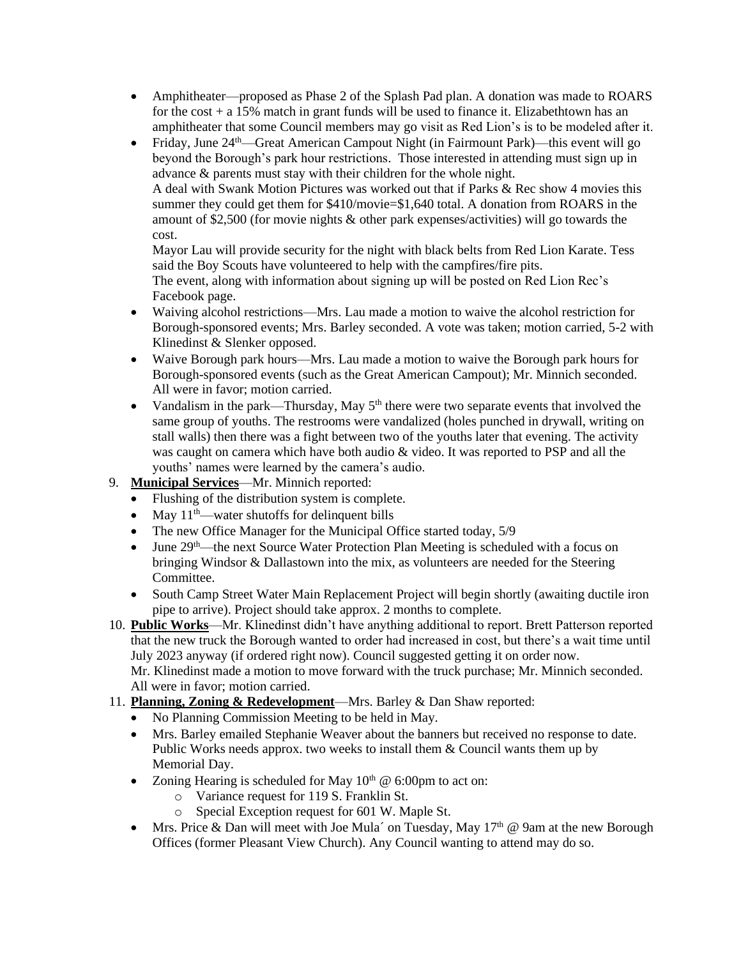- Amphitheater—proposed as Phase 2 of the Splash Pad plan. A donation was made to ROARS for the cost  $+ a 15\%$  match in grant funds will be used to finance it. Elizabethtown has an amphitheater that some Council members may go visit as Red Lion's is to be modeled after it.
- Friday, June  $24<sup>th</sup>$ —Great American Campout Night (in Fairmount Park)—this event will go beyond the Borough's park hour restrictions. Those interested in attending must sign up in advance & parents must stay with their children for the whole night. A deal with Swank Motion Pictures was worked out that if Parks & Rec show 4 movies this summer they could get them for \$410/movie=\$1,640 total. A donation from ROARS in the amount of \$2,500 (for movie nights & other park expenses/activities) will go towards the cost.

Mayor Lau will provide security for the night with black belts from Red Lion Karate. Tess said the Boy Scouts have volunteered to help with the campfires/fire pits. The event, along with information about signing up will be posted on Red Lion Rec's Facebook page.

- Waiving alcohol restrictions—Mrs. Lau made a motion to waive the alcohol restriction for Borough-sponsored events; Mrs. Barley seconded. A vote was taken; motion carried, 5-2 with Klinedinst & Slenker opposed.
- Waive Borough park hours—Mrs. Lau made a motion to waive the Borough park hours for Borough-sponsored events (such as the Great American Campout); Mr. Minnich seconded. All were in favor; motion carried.
- Vandalism in the park—Thursday, May  $5<sup>th</sup>$  there were two separate events that involved the same group of youths. The restrooms were vandalized (holes punched in drywall, writing on stall walls) then there was a fight between two of the youths later that evening. The activity was caught on camera which have both audio & video. It was reported to PSP and all the youths' names were learned by the camera's audio.
- 9. **Municipal Services**—Mr. Minnich reported:
	- Flushing of the distribution system is complete.
	- May  $11<sup>th</sup>$ —water shutoffs for delinquent bills
	- The new Office Manager for the Municipal Office started today, 5/9
	- June 29<sup>th</sup>—the next Source Water Protection Plan Meeting is scheduled with a focus on bringing Windsor & Dallastown into the mix, as volunteers are needed for the Steering Committee.
	- South Camp Street Water Main Replacement Project will begin shortly (awaiting ductile iron pipe to arrive). Project should take approx. 2 months to complete.
- 10. **Public Works**—Mr. Klinedinst didn't have anything additional to report. Brett Patterson reported that the new truck the Borough wanted to order had increased in cost, but there's a wait time until July 2023 anyway (if ordered right now). Council suggested getting it on order now. Mr. Klinedinst made a motion to move forward with the truck purchase; Mr. Minnich seconded. All were in favor; motion carried.
- 11. **Planning, Zoning & Redevelopment**—Mrs. Barley & Dan Shaw reported:
	- No Planning Commission Meeting to be held in May.
	- Mrs. Barley emailed Stephanie Weaver about the banners but received no response to date. Public Works needs approx. two weeks to install them & Council wants them up by Memorial Day.
	- Zoning Hearing is scheduled for May  $10<sup>th</sup>$  @ 6:00pm to act on:
		- o Variance request for 119 S. Franklin St.
		- o Special Exception request for 601 W. Maple St.
	- Mrs. Price & Dan will meet with Joe Mula' on Tuesday, May  $17<sup>th</sup>$  @ 9am at the new Borough Offices (former Pleasant View Church). Any Council wanting to attend may do so.